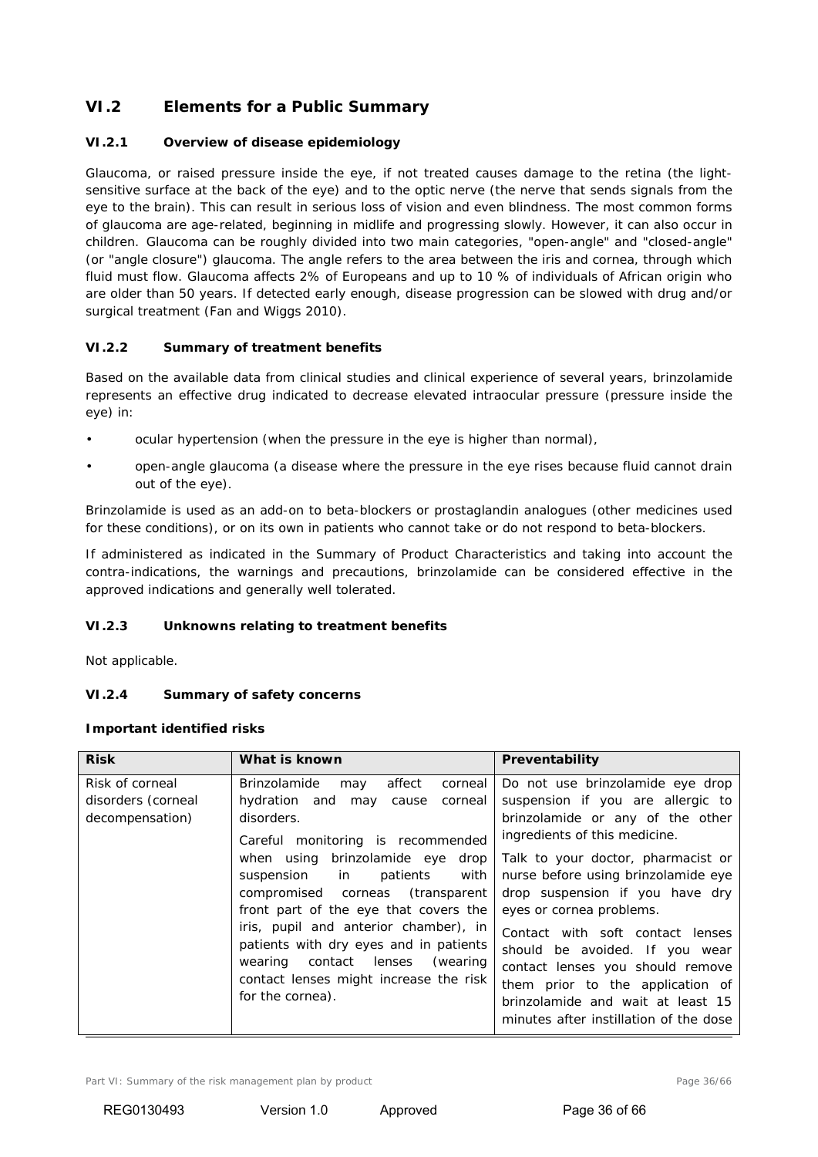# **VI.2 Elements for a Public Summary**

# **VI.2.1 Overview of disease epidemiology**

Glaucoma, or raised pressure inside the eye, if not treated causes damage to the retina (the lightsensitive surface at the back of the eye) and to the optic nerve (the nerve that sends signals from the eye to the brain). This can result in serious loss of vision and even blindness. The most common forms of glaucoma are age-related, beginning in midlife and progressing slowly. However, it can also occur in children. Glaucoma can be roughly divided into two main categories, "open-angle" and "closed-angle" (or "angle closure") glaucoma. The angle refers to the area between the iris and cornea, through which fluid must flow. Glaucoma affects 2% of Europeans and up to 10 % of individuals of African origin who are older than 50 years. If detected early enough, disease progression can be slowed with drug and/or surgical treatment (Fan and Wiggs 2010).

# **VI.2.2 Summary of treatment benefits**

Based on the available data from clinical studies and clinical experience of several years, brinzolamide represents an effective drug indicated to decrease elevated intraocular pressure (pressure inside the eye) in:

- ocular hypertension (when the pressure in the eye is higher than normal),
- open-angle glaucoma (a disease where the pressure in the eye rises because fluid cannot drain out of the eye).

Brinzolamide is used as an add-on to beta-blockers or prostaglandin analogues (other medicines used for these conditions), or on its own in patients who cannot take or do not respond to beta-blockers.

If administered as indicated in the Summary of Product Characteristics and taking into account the contra-indications, the warnings and precautions, brinzolamide can be considered effective in the approved indications and generally well tolerated.

## **VI.2.3 Unknowns relating to treatment benefits**

Not applicable.

# **VI.2.4 Summary of safety concerns**

#### **Important identified risks**

| <b>Risk</b>                                              | What is known                                                                                                                                                                                                                                                                                                                                                                                                                                                                        | Preventability                                                                                                                                                                                                                                                                                                                                                                                                                                                                                                      |
|----------------------------------------------------------|--------------------------------------------------------------------------------------------------------------------------------------------------------------------------------------------------------------------------------------------------------------------------------------------------------------------------------------------------------------------------------------------------------------------------------------------------------------------------------------|---------------------------------------------------------------------------------------------------------------------------------------------------------------------------------------------------------------------------------------------------------------------------------------------------------------------------------------------------------------------------------------------------------------------------------------------------------------------------------------------------------------------|
| Risk of corneal<br>disorders (corneal<br>decompensation) | Brinzolamide<br>affect<br>corneal<br>may<br>hydration and<br>corneal<br>may<br>cause<br>disorders.<br>Careful monitoring is recommended<br>when using brinzolamide eye drop<br>patients<br>with<br>suspension in<br>compromised corneas (transparent<br>front part of the eye that covers the<br>iris, pupil and anterior chamber), in<br>patients with dry eyes and in patients<br>contact lenses (wearing<br>wearing<br>contact lenses might increase the risk<br>for the cornea). | Do not use brinzolamide eye drop<br>suspension if you are allergic to<br>brinzolamide or any of the other<br>ingredients of this medicine.<br>Talk to your doctor, pharmacist or<br>nurse before using brinzolamide eye<br>drop suspension if you have dry<br>eyes or cornea problems.<br>Contact with soft contact lenses<br>should be avoided. If you wear<br>contact lenses you should remove<br>them prior to the application of<br>brinzolamide and wait at least 15<br>minutes after instillation of the dose |

Part VI: Summary of the risk management plan by product example and the risk management plan by product Page 36/66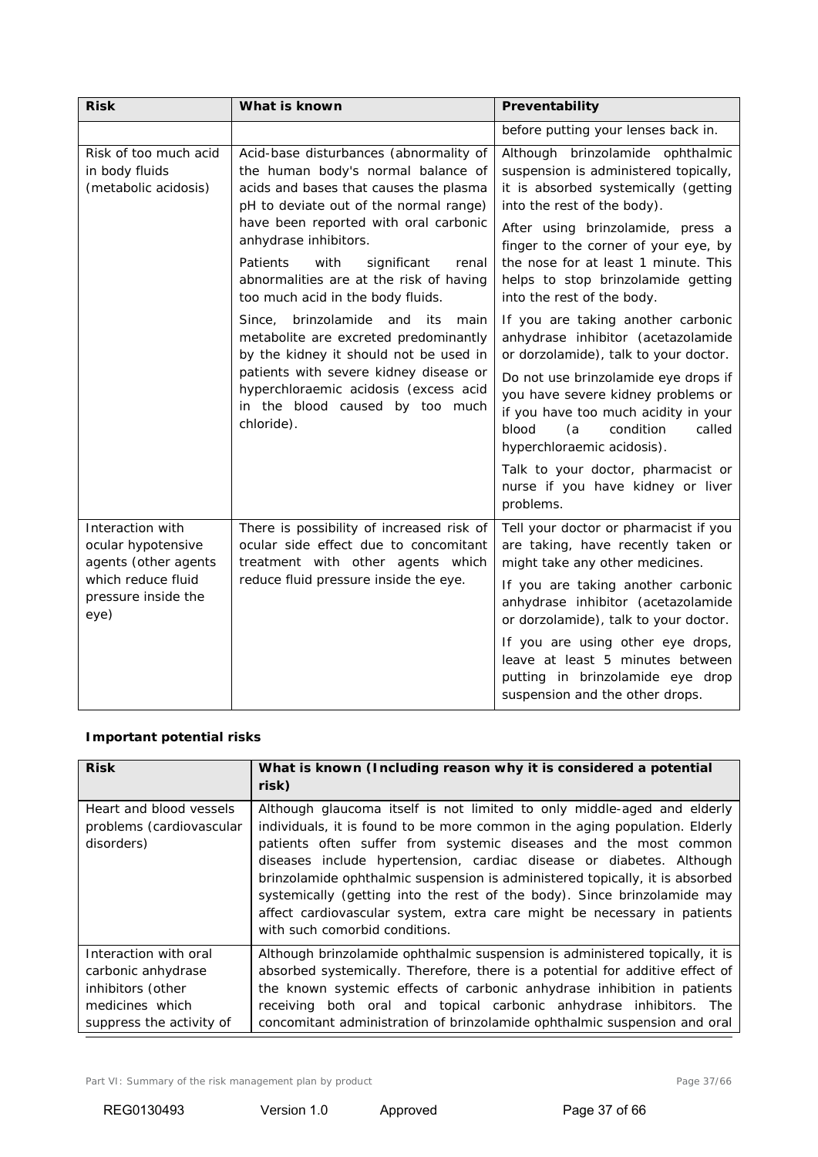| <b>Risk</b>                                                                                                         | What is known                                                                                                                                                                                                                                                                                                                                                  | Preventability                                                                                                                                                                                                                                                                                                                                                                                       |
|---------------------------------------------------------------------------------------------------------------------|----------------------------------------------------------------------------------------------------------------------------------------------------------------------------------------------------------------------------------------------------------------------------------------------------------------------------------------------------------------|------------------------------------------------------------------------------------------------------------------------------------------------------------------------------------------------------------------------------------------------------------------------------------------------------------------------------------------------------------------------------------------------------|
|                                                                                                                     |                                                                                                                                                                                                                                                                                                                                                                | before putting your lenses back in.                                                                                                                                                                                                                                                                                                                                                                  |
| Risk of too much acid<br>in body fluids<br>(metabolic acidosis)                                                     | Acid-base disturbances (abnormality of<br>the human body's normal balance of<br>acids and bases that causes the plasma<br>pH to deviate out of the normal range)<br>have been reported with oral carbonic<br>anhydrase inhibitors.<br>Patients<br>with<br>significant<br>renal<br>abnormalities are at the risk of having<br>too much acid in the body fluids. | Although brinzolamide ophthalmic<br>suspension is administered topically,<br>it is absorbed systemically (getting<br>into the rest of the body).<br>After using brinzolamide, press a<br>finger to the corner of your eye, by<br>the nose for at least 1 minute. This<br>helps to stop brinzolamide getting<br>into the rest of the body.                                                            |
|                                                                                                                     | brinzolamide and its<br>Since,<br>main<br>metabolite are excreted predominantly<br>by the kidney it should not be used in<br>patients with severe kidney disease or<br>hyperchloraemic acidosis (excess acid<br>in the blood caused by too much<br>chloride).                                                                                                  | If you are taking another carbonic<br>anhydrase inhibitor (acetazolamide<br>or dorzolamide), talk to your doctor.<br>Do not use brinzolamide eye drops if<br>you have severe kidney problems or<br>if you have too much acidity in your<br>blood<br>(a)<br>condition<br>called<br>hyperchloraemic acidosis).<br>Talk to your doctor, pharmacist or<br>nurse if you have kidney or liver<br>problems. |
| Interaction with<br>ocular hypotensive<br>agents (other agents<br>which reduce fluid<br>pressure inside the<br>eye) | There is possibility of increased risk of<br>ocular side effect due to concomitant<br>treatment with other agents which<br>reduce fluid pressure inside the eye.                                                                                                                                                                                               | Tell your doctor or pharmacist if you<br>are taking, have recently taken or<br>might take any other medicines.<br>If you are taking another carbonic<br>anhydrase inhibitor (acetazolamide<br>or dorzolamide), talk to your doctor.<br>If you are using other eye drops,<br>leave at least 5 minutes between<br>putting in brinzolamide eye drop<br>suspension and the other drops.                  |

# **Important potential risks**

| <b>Risk</b>                                                                         | What is known (Including reason why it is considered a potential<br>risk)                                                                                                                                                                                                                                                                                                                                                                                                                                                                                                   |
|-------------------------------------------------------------------------------------|-----------------------------------------------------------------------------------------------------------------------------------------------------------------------------------------------------------------------------------------------------------------------------------------------------------------------------------------------------------------------------------------------------------------------------------------------------------------------------------------------------------------------------------------------------------------------------|
| Heart and blood vessels<br>problems (cardiovascular<br>disorders)                   | Although glaucoma itself is not limited to only middle-aged and elderly<br>individuals, it is found to be more common in the aging population. Elderly<br>patients often suffer from systemic diseases and the most common<br>diseases include hypertension, cardiac disease or diabetes. Although<br>brinzolamide ophthalmic suspension is administered topically, it is absorbed<br>systemically (getting into the rest of the body). Since brinzolamide may<br>affect cardiovascular system, extra care might be necessary in patients<br>with such comorbid conditions. |
| Interaction with oral<br>carbonic anhydrase<br>inhibitors (other<br>medicines which | Although brinzolamide ophthalmic suspension is administered topically, it is<br>absorbed systemically. Therefore, there is a potential for additive effect of<br>the known systemic effects of carbonic anhydrase inhibition in patients<br>receiving both oral and topical carbonic anhydrase inhibitors. The                                                                                                                                                                                                                                                              |
| suppress the activity of                                                            | concomitant administration of brinzolamide ophthalmic suspension and oral                                                                                                                                                                                                                                                                                                                                                                                                                                                                                                   |

Part VI: Summary of the risk management plan by product example 20 and the Page 37/66